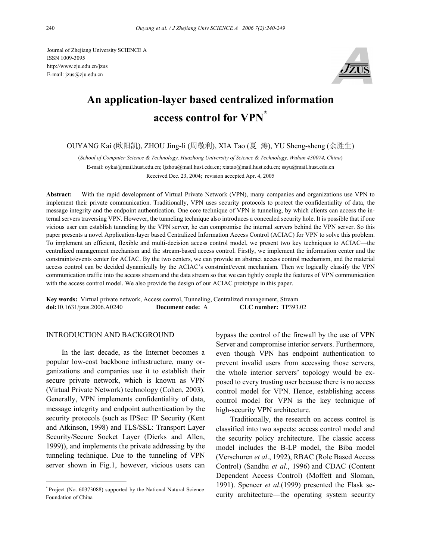Journal of Zhejiang University SCIENCE A ISSN 1009-3095 http://www.zju.edu.cn/jzus E-mail: jzus@zju.edu.cn



# **An application-layer based centralized information access control for VPN\***

# OUYANG Kai (欧阳凯), ZHOU Jing-li (周敬利), XIA Tao (夏 涛), YU Sheng-sheng (余胜生)

(*School of Computer Science & Technology, Huazhong University of Science & Technology, Wuhan 430074, China*) E-mail: oykai@mail.hust.edu.cn; ljzhou@mail.hust.edu.cn; xiatao@mail.hust.edu.cn; ssyu@mail.hust.edu.cn Received Dec. 23, 2004; revision accepted Apr. 4, 2005

**Abstract:** With the rapid development of Virtual Private Network (VPN), many companies and organizations use VPN to implement their private communication. Traditionally, VPN uses security protocols to protect the confidentiality of data, the message integrity and the endpoint authentication. One core technique of VPN is tunneling, by which clients can access the internal servers traversing VPN. However, the tunneling technique also introduces a concealed security hole. It is possible that if one vicious user can establish tunneling by the VPN server, he can compromise the internal servers behind the VPN server. So this paper presents a novel Application-layer based Centralized Information Access Control (ACIAC) for VPN to solve this problem. To implement an efficient, flexible and multi-decision access control model, we present two key techniques to ACIAC—the centralized management mechanism and the stream-based access control. Firstly, we implement the information center and the constraints/events center for ACIAC. By the two centers, we can provide an abstract access control mechanism, and the material access control can be decided dynamically by the ACIAC's constraint/event mechanism. Then we logically classify the VPN communication traffic into the access stream and the data stream so that we can tightly couple the features of VPN communication with the access control model. We also provide the design of our ACIAC prototype in this paper.

**Key words:** Virtual private network, Access control, Tunneling, Centralized management, Stream **doi:**10.1631/jzus.2006.A0240 **Document code:** A **CLC number:** TP393.02

# INTRODUCTION AND BACKGROUND

In the last decade, as the Internet becomes a popular low-cost backbone infrastructure, many organizations and companies use it to establish their secure private network, which is known as VPN (Virtual Private Network) technology (Cohen, 2003). Generally, VPN implements confidentiality of data, message integrity and endpoint authentication by the security protocols (such as IPSec: IP Security (Kent and Atkinson, 1998) and TLS/SSL: Transport Layer Security/Secure Socket Layer (Dierks and Allen, 1999)), and implements the private addressing by the tunneling technique. Due to the tunneling of VPN server shown in Fig.1, however, vicious users can

bypass the control of the firewall by the use of VPN Server and compromise interior servers. Furthermore, even though VPN has endpoint authentication to prevent invalid users from accessing those servers, the whole interior servers' topology would be exposed to every trusting user because there is no access control model for VPN. Hence, establishing access control model for VPN is the key technique of high-security VPN architecture.

Traditionally, the research on access control is classified into two aspects: access control model and the security policy architecture. The classic access model includes the B-LP model, the Biba model (Verschuren *et al*., 1992), RBAC (Role Based Access Control) (Sandhu *et al.*, 1996) and CDAC (Content Dependent Access Control) (Moffett and Sloman, 1991). Spencer *et al*.(1999) presented the Flask security architecture—the operating system security

<sup>\*</sup> Project (No. 60373088) supported by the National Natural Science Foundation of China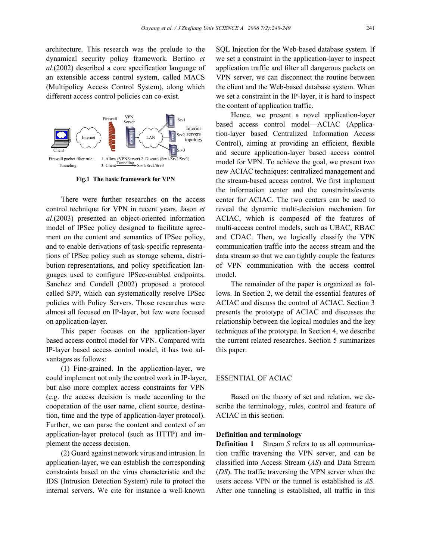architecture. This research was the prelude to the dynamical security policy framework. Bertino *et al*.(2002) described a core specification language of an extensible access control system, called MACS (Multipolicy Access Control System), along which different access control policies can co-exist.



**Fig.1 The basic framework for VPN**

There were further researches on the access control technique for VPN in recent years. Jason *et al*.(2003) presented an object-oriented information model of IPSec policy designed to facilitate agreement on the content and semantics of IPSec policy, and to enable derivations of task-specific representations of IPSec policy such as storage schema, distribution representations, and policy specification languages used to configure IPSec-enabled endpoints. Sanchez and Condell (2002) proposed a protocol called SPP, which can systematically resolve IPSec policies with Policy Servers. Those researches were almost all focused on IP-layer, but few were focused on application-layer.

This paper focuses on the application-layer based access control model for VPN. Compared with IP-layer based access control model, it has two advantages as follows:

(1) Fine-grained. In the application-layer, we could implement not only the control work in IP-layer, but also more complex access constraints for VPN (e.g. the access decision is made according to the cooperation of the user name, client source, destination, time and the type of application-layer protocol). Further, we can parse the content and context of an application-layer protocol (such as HTTP) and implement the access decision.

(2) Guard against network virus and intrusion. In application-layer, we can establish the corresponding constraints based on the virus characteristic and the IDS (Intrusion Detection System) rule to protect the internal servers. We cite for instance a well-known

SQL Injection for the Web-based database system. If we set a constraint in the application-layer to inspect application traffic and filter all dangerous packets on VPN server, we can disconnect the routine between the client and the Web-based database system. When we set a constraint in the IP-layer, it is hard to inspect the content of application traffic.

Hence, we present a novel application-layer based access control model—ACIAC (Application-layer based Centralized Information Access Control), aiming at providing an efficient, flexible and secure application-layer based access control model for VPN. To achieve the goal, we present two new ACIAC techniques: centralized management and the stream-based access control. We first implement the information center and the constraints/events center for ACIAC. The two centers can be used to reveal the dynamic multi-decision mechanism for ACIAC, which is composed of the features of multi-access control models, such as UBAC, RBAC and CDAC. Then, we logically classify the VPN communication traffic into the access stream and the data stream so that we can tightly couple the features of VPN communication with the access control model.

The remainder of the paper is organized as follows. In Section 2, we detail the essential features of ACIAC and discuss the control of ACIAC. Section 3 presents the prototype of ACIAC and discusses the relationship between the logical modules and the key techniques of the prototype. In Section 4, we describe the current related researches. Section 5 summarizes this paper.

# ESSENTIAL OF ACIAC

Based on the theory of set and relation, we describe the terminology, rules, control and feature of ACIAC in this section.

#### **Definition and terminology**

**Definition 1** Stream *S* refers to as all communication traffic traversing the VPN server, and can be classified into Access Stream (*AS*) and Data Stream (*DS*). The traffic traversing the VPN server when the users access VPN or the tunnel is established is *AS*. After one tunneling is established, all traffic in this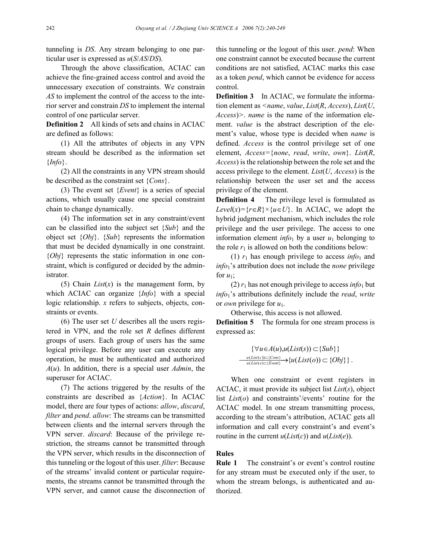tunneling is *DS*. Any stream belonging to one particular user is expressed as *u*(*S*/*AS*/*DS*).

Through the above classification, ACIAC can achieve the fine-grained access control and avoid the unnecessary execution of constraints. We constrain *AS* to implement the control of the access to the interior server and constrain *DS* to implement the internal control of one particular server.

**Definition 2** All kinds of sets and chains in ACIAC are defined as follows:

(1) All the attributes of objects in any VPN stream should be described as the information set {*Info*}.

(2) All the constraints in any VPN stream should be described as the constraint set {*Cons*}.

(3) The event set {*Event*} is a series of special actions, which usually cause one special constraint chain to change dynamically.

(4) The information set in any constraint/event can be classified into the subject set {*Sub*} and the object set {*Obj*}. {*Sub*} represents the information that must be decided dynamically in one constraint. {*Obj*} represents the static information in one constraint, which is configured or decided by the administrator.

(5) Chain  $List(x)$  is the management form, by which ACIAC can organize {*Info*} with a special logic relationship. *x* refers to subjects, objects, constraints or events.

(6) The user set *U* describes all the users registered in VPN, and the role set *R* defines different groups of users. Each group of users has the same logical privilege. Before any user can execute any operation, he must be authenticated and authorized *A*(*u*). In addition, there is a special user *Admin*, the superuser for ACIAC.

(7) The actions triggered by the results of the constraints are described as {*Action*}. In ACIAC model, there are four types of actions: *allow*, *discard*, *filter* and *pend*. *allow*: The streams can be transmitted between clients and the internal servers through the VPN server. *discard*: Because of the privilege restriction, the streams cannot be transmitted through the VPN server, which results in the disconnection of this tunneling or the logout of this user. *filter*: Because of the streams' invalid content or particular requirements, the streams cannot be transmitted through the VPN server, and cannot cause the disconnection of this tunneling or the logout of this user. *pend*: When one constraint cannot be executed because the current conditions are not satisfied, ACIAC marks this case as a token *pend*, which cannot be evidence for access control.

**Definition 3** In ACIAC, we formulate the information element as *<name*, *value*, *List*(*R*, *Access*), *List*(*U*, *Access*)*>*. *name* is the name of the information element. *value* is the abstract description of the element's value, whose type is decided when *name* is defined. *Access* is the control privilege set of one element, *Access=*{*none*, *read*, *write*, *own*}. *List*(*R*, *Access*) is the relationship between the role set and the access privilege to the element. *List*(*U*, *Access*) is the relationship between the user set and the access privilege of the element.

**Definition 4** The privilege level is formulated as *Level*(*x*)={ $r \in R$ }×{ $u \in U$ }. In ACIAC, we adopt the hybrid judgment mechanism, which includes the role privilege and the user privilege. The access to one information element *info*<sub>1</sub> by a user  $u_1$  belonging to the role  $r_1$  is allowed on both the conditions below:

(1)  $r_1$  has enough privilege to access *info*<sub>1</sub> and *info*1's attribution does not include the *none* privilege for  $u_1$ ;

(2)  $r_1$  has not enough privilege to access *info*<sub>1</sub> but *info*1's attributions definitely include the *read*, *write* or *own* privilege for *u*1.

Otherwise, this access is not allowed.

**Definition 5** The formula for one stream process is expressed as:

$$
\{\forall u \in A(u), u(List(s)) \subset \{Sub\}\}
$$
  

$$
\xrightarrow[u(List(e)) \subset \{Cons\}]{u(List(s)) \subset \{Sub\}\}.
$$
  

$$
\xrightarrow[u(List(e)) \subset \{Obj\}].
$$

When one constraint or event registers in ACIAC, it must provide its subject list *List*(*s*), object list *List*(*o*) and constraints'/events' routine for the ACIAC model. In one stream transmitting process, according to the stream's attribution, ACIAC gets all information and call every constraint's and event's routine in the current  $u(List(c))$  and  $u(List(e))$ .

### **Rules**

**Rule 1** The constraint's or event's control routine for any stream must be executed only if the user, to whom the stream belongs, is authenticated and authorized.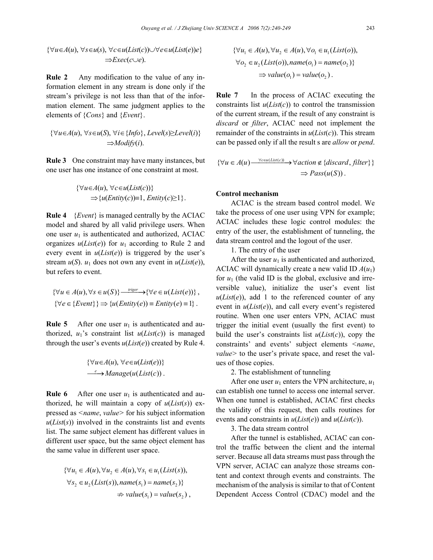$$
\{\forall u \in A(u), \forall s \in u(s), \forall c \in u(List(c)) \cup \forall e \in u(List(e))e\}
$$
  

$$
\Rightarrow \text{Exec}(c \cup e).
$$

**Rule 2** Any modification to the value of any information element in any stream is done only if the stream's privilege is not less than that of the information element. The same judgment applies to the elements of {*Cons*} and {*Event*}.

$$
\{\forall u \in A(u), \forall s \in u(S), \forall i \in \{Info\}, \text{Level}(s) \ge \text{Level}(i)\}\
$$
  

$$
\Rightarrow \text{Modify}(i).
$$

**Rule 3** One constraint may have many instances, but one user has one instance of one constraint at most.

$$
\begin{aligned} \{\forall u \in A(u), \ \forall c \in u(List(c))\} \\ \Rightarrow \{u(Entity(c))=1, \ Entity(c) \ge 1\}. \end{aligned}
$$

**Rule 4** {*Event*} is managed centrally by the ACIAC model and shared by all valid privilege users. When one user  $u_1$  is authenticated and authorized, ACIAC organizes  $u(List(e))$  for  $u_1$  according to Rule 2 and every event in  $u(List(e))$  is triggered by the user's stream  $u(S)$ .  $u_1$  does not own any event in  $u(List(e))$ , but refers to event.

$$
\{\forall u \in A(u), \forall s \in u(S)\} \longrightarrow \{\forall e \in u(List(e))\},\
$$

$$
\{\forall e \in \{Event\}\} \Longrightarrow \{u(Entity(e)) \equiv Entity(e) \equiv 1\}.
$$

**Rule 5** After one user  $u_1$  is authenticated and authorized,  $u_1$ 's constraint list  $u(List(c))$  is managed through the user's events  $u(List(e))$  created by Rule 4.

$$
\{\forall u \in A(u), \forall e \in u(List(e))\}
$$
  

$$
\xrightarrow{e} \text{Manager}(u(List(c)).
$$

**Rule 6** After one user  $u_1$  is authenticated and authorized, he will maintain a copy of  $u(List(s))$  expressed as *<name*, *value>* for his subject information  $u(List(s))$  involved in the constraints list and events list. The same subject element has different values in different user space, but the same object element has the same value in different user space.

$$
\{\forall u_1 \in A(u), \forall u_2 \in A(u), \forall s_1 \in u_1(List(s)),
$$
  

$$
\forall s_2 \in u_2(List(s)), name(s_1) = name(s_2)\}
$$
  

$$
\Rightarrow value(s_1) = value(s_2),
$$

$$
\{\forall u_1 \in A(u), \forall u_2 \in A(u), \forall o_1 \in u_1(List(o)),
$$
  

$$
\forall o_2 \in u_2(List(o)), name(o_1) = name(o_2)\}
$$
  

$$
\Rightarrow value(o_1) = value(o_2).
$$

**Rule 7** In the process of ACIAC executing the constraints list  $u(List(c))$  to control the transmission of the current stream, if the result of any constraint is *discard* or *filter*, ACIAC need not implement the remainder of the constraints in *u*(*List*(*c*)). This stream can be passed only if all the result s are *allow* or *pend*.

$$
\{\forall u \in A(u) \xrightarrow{\forall c \in u(List(c))} \exists \forall \text{action} \notin \{\text{discard}, \text{filter}\}\}\
$$

$$
\Rightarrow \text{Pass}(u(S)).
$$

#### **Control mechanism**

ACIAC is the stream based control model. We take the process of one user using VPN for example; ACIAC includes these logic control modules: the entry of the user, the establishment of tunneling, the data stream control and the logout of the user.

1. The entry of the user

After the user  $u_1$  is authenticated and authorized, ACIAC will dynamically create a new valid ID  $A(u_1)$ for  $u_1$  (the valid ID is the global, exclusive and irreversible value), initialize the user's event list  $u(List(e))$ , add 1 to the referenced counter of any event in  $u(List(e))$ , and call every event's registered routine. When one user enters VPN, ACIAC must trigger the initial event (usually the first event) to build the user's constraints list  $u(List(c))$ , copy the constraints' and events' subject elements *<name*, *value>* to the user's private space, and reset the values of those copies.

2. The establishment of tunneling

After one user  $u_1$  enters the VPN architecture,  $u_1$ can establish one tunnel to access one internal server. When one tunnel is established, ACIAC first checks the validity of this request, then calls routines for events and constraints in  $u(List(e))$  and  $u(List(c))$ .

3. The data stream control

After the tunnel is established, ACIAC can control the traffic between the client and the internal server. Because all data streams must pass through the VPN server, ACIAC can analyze those streams content and context through events and constraints. The mechanism of the analysis is similar to that of Content Dependent Access Control (CDAC) model and the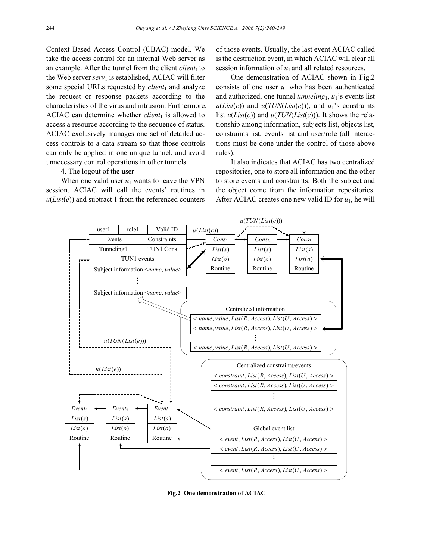Context Based Access Control (CBAC) model. We take the access control for an internal Web server as an example. After the tunnel from the client *client*<sup>1</sup> to the Web server  $serv_1$  is established, ACIAC will filter some special URLs requested by *client*<sub>1</sub> and analyze the request or response packets according to the characteristics of the virus and intrusion. Furthermore, ACIAC can determine whether *client*<sup>1</sup> is allowed to access a resource according to the sequence of status. ACIAC exclusively manages one set of detailed access controls to a data stream so that those controls can only be applied in one unique tunnel, and avoid unnecessary control operations in other tunnels.

4. The logout of the user

When one valid user  $u_1$  wants to leave the VPN session, ACIAC will call the events' routines in  $u(List(e))$  and subtract 1 from the referenced counters of those events. Usually, the last event ACIAC called is the destruction event, in which ACIAC will clear all session information of *u*1 and all related resources.

One demonstration of ACIAC shown in Fig.2 consists of one user  $u_1$  who has been authenticated and authorized, one tunnel *tunneling*1, *u*1's events list  $u(List(e))$  and  $u(TUN(List(e)))$ , and  $u_1$ 's constraints list  $u(List(c))$  and  $u(TUN(List(c)))$ . It shows the relationship among information, subjects list, objects list, constraints list, events list and user/role (all interactions must be done under the control of those above rules).

It also indicates that ACIAC has two centralized repositories, one to store all information and the other to store events and constraints. Both the subject and the object come from the information repositories. After ACIAC creates one new valid ID for  $u_1$ , he will



**Fig.2 One demonstration of ACIAC**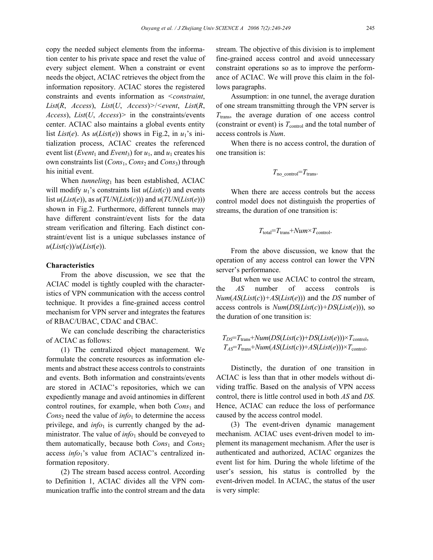copy the needed subject elements from the information center to his private space and reset the value of every subject element. When a constraint or event needs the object, ACIAC retrieves the object from the information repository. ACIAC stores the registered constraints and events information as *<constraint*, *List*(*R*, *Access*), *List*(*U*, *Access*)*>*/*<event*, *List*(*R*, *Access*), *List*(*U*, *Access*)*>* in the constraints/events center. ACIAC also maintains a global events entity list *List*(*e*). As  $u(List(e))$  shows in Fig.2, in  $u_1$ 's initialization process, ACIAC creates the referenced event list (*Event*<sub>1</sub> and *Event*<sub>3</sub>) for  $u_1$ , and  $u_1$  creates his own constraints list (*Cons*1, *Cons*2 and *Cons*3) through his initial event.

When  $tunneling<sub>1</sub>$  has been established,  $\angle$ ACIAC will modify  $u_1$ 's constraints list  $u(List(c))$  and events list  $u(List(e))$ , as  $u(TUN(List(c)))$  and  $u(TUN(List(e)))$ shown in Fig.2. Furthermore, different tunnels may have different constraint/event lists for the data stream verification and filtering. Each distinct constraint/event list is a unique subclasses instance of  $u(List(c))/u(List(e)).$ 

# **Characteristics**

From the above discussion, we see that the ACIAC model is tightly coupled with the characteristics of VPN communication with the access control technique. It provides a fine-grained access control mechanism for VPN server and integrates the features of RBAC/UBAC, CDAC and CBAC.

We can conclude describing the characteristics of ACIAC as follows:

(1) The centralized object management. We formulate the concrete resources as information elements and abstract these access controls to constraints and events. Both information and constraints/events are stored in ACIAC's repositories, which we can expediently manage and avoid antinomies in different control routines, for example, when both *Cons*1 and  $Cons_2$  need the value of  $info_1$  to determine the access privilege, and  $info_1$  is currently changed by the administrator. The value of *info*<sub>1</sub> should be conveyed to them automatically, because both *Cons*<sub>1</sub> and *Cons*<sub>2</sub> access *info*1's value from ACIAC's centralized information repository.

(2) The stream based access control. According to Definition 1, ACIAC divides all the VPN communication traffic into the control stream and the data

stream. The objective of this division is to implement fine-grained access control and avoid unnecessary constraint operations so as to improve the performance of ACIAC. We will prove this claim in the follows paragraphs.

Assumption: in one tunnel, the average duration of one stream transmitting through the VPN server is  $T_{trans}$ , the average duration of one access control (constraint or event) is  $T_{control}$  and the total number of access controls is *Num*.

When there is no access control, the duration of one transition is:

$$
T_{\text{no control}} = T_{\text{trans}}
$$
.

When there are access controls but the access control model does not distinguish the properties of streams, the duration of one transition is:

$$
T_{\text{total}} = T_{\text{trans}} + Num \times T_{\text{control}}.
$$

From the above discussion, we know that the operation of any access control can lower the VPN server's performance.

But when we use ACIAC to control the stream, the *AS* number of access controls is  $Num(AS(List(c)) + AS(List(e)))$  and the *DS* number of access controls is *Num*(*DS*(*List*(*c*))*+DS*(*List*(*e*))), so the duration of one transition is:

 $T_{DS} = T_{trans} + Num(DS(List(c)) + DS(List(e))) \times T_{control}$  $T_{AS} = T_{trans} + Num(AS(List(c)) + AS(List(e))) \times T_{control}.$ 

Distinctly, the duration of one transition in ACIAC is less than that in other models without dividing traffic. Based on the analysis of VPN access control, there is little control used in both *AS* and *DS*. Hence, ACIAC can reduce the loss of performance caused by the access control model.

(3) The event-driven dynamic management mechanism. ACIAC uses event-driven model to implement its management mechanism. After the user is authenticated and authorized, ACIAC organizes the event list for him. During the whole lifetime of the user's session, his status is controlled by the event-driven model. In ACIAC, the status of the user is very simple: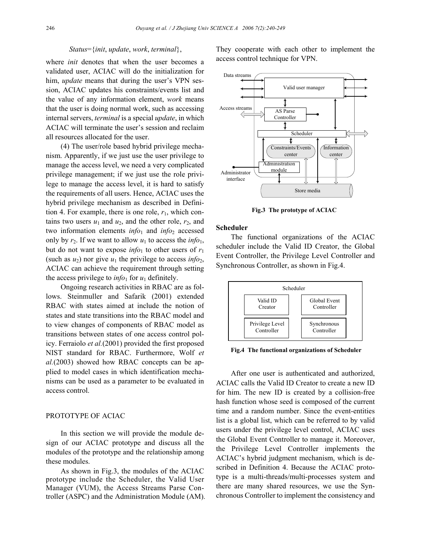where *init* denotes that when the user becomes a validated user, ACIAC will do the initialization for him, *update* means that during the user's VPN session, ACIAC updates his constraints/events list and the value of any information element, *work* means that the user is doing normal work, such as accessing internal servers, *terminal* is a special *update*, in which ACIAC will terminate the user's session and reclaim all resources allocated for the user.

(4) The user/role based hybrid privilege mechanism. Apparently, if we just use the user privilege to manage the access level, we need a very complicated privilege management; if we just use the role privilege to manage the access level, it is hard to satisfy the requirements of all users. Hence, ACIAC uses the hybrid privilege mechanism as described in Definition 4. For example, there is one role,  $r_1$ , which contains two users  $u_1$  and  $u_2$ , and the other role,  $r_2$ , and two information elements *info*<sub>1</sub> and *info*<sub>2</sub> accessed only by  $r_2$ . If we want to allow  $u_1$  to access the *info*<sub>1</sub>, but do not want to expose *info*<sub>1</sub> to other users of  $r_1$ (such as  $u_2$ ) nor give  $u_1$  the privilege to access *info*<sub>2</sub>, ACIAC can achieve the requirement through setting the access privilege to *info*<sub>1</sub> for  $u_1$  definitely.

Ongoing research activities in RBAC are as follows. Steinmuller and Safarik (2001) extended RBAC with states aimed at include the notion of states and state transitions into the RBAC model and to view changes of components of RBAC model as transitions between states of one access control policy. Ferraiolo *et al.*(2001) provided the first proposed NIST standard for RBAC. Furthermore, Wolf *et al.*(2003) showed how RBAC concepts can be applied to model cases in which identification mechanisms can be used as a parameter to be evaluated in access control.

# PROTOTYPE OF ACIAC

In this section we will provide the module design of our ACIAC prototype and discuss all the modules of the prototype and the relationship among these modules.

As shown in Fig.3, the modules of the ACIAC prototype include the Scheduler, the Valid User Manager (VUM), the Access Streams Parse Controller (ASPC) and the Administration Module (AM).

*Status*={*init*, *update*, *work*, *terminal*}, They cooperate with each other to implement the access control technique for VPN.



**Fig.3 The prototype of ACIAC**

#### **Scheduler**

The functional organizations of the ACIAC scheduler include the Valid ID Creator, the Global Event Controller, the Privilege Level Controller and Synchronous Controller, as shown in Fig.4.



**Fig.4 The functional organizations of Scheduler**

After one user is authenticated and authorized, ACIAC calls the Valid ID Creator to create a new ID for him. The new ID is created by a collision-free hash function whose seed is composed of the current time and a random number. Since the event-entities list is a global list, which can be referred to by valid users under the privilege level control, ACIAC uses the Global Event Controller to manage it. Moreover, the Privilege Level Controller implements the ACIAC's hybrid judgment mechanism, which is described in Definition 4. Because the ACIAC prototype is a multi-threads/multi-processes system and there are many shared resources, we use the Synchronous Controller to implement the consistency and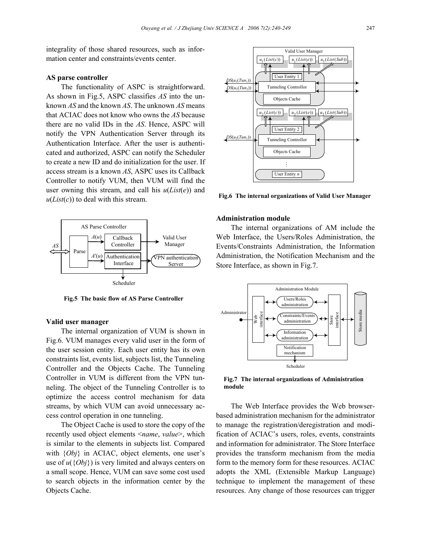integrality of those shared resources, such as information center and constraints/events center.

#### **AS parse controller**

The functionality of ASPC is straightforward. As shown in Fig.5, ASPC classifies *AS* into the unknown *AS* and the known *AS*. The unknown *AS* means that ACIAC does not know who owns the *AS* because there are no valid IDs in the *AS*. Hence, ASPC will notify the VPN Authentication Server through its Authentication Interface. After the user is authenticated and authorized, ASPC can notify the Scheduler to create a new ID and do initialization for the user. If access stream is a known *AS*, ASPC uses its Callback Controller to notify VUM, then VUM will find the user owning this stream, and call his *u*(*List*(*e*)) and  $u(List(c))$  to deal with this stream.



**Fig.5 The basic flow of AS Parse Controller**

#### **Valid user manager**

The internal organization of VUM is shown in Fig.6. VUM manages every valid user in the form of the user session entity. Each user entity has its own constraints list, events list, subjects list, the Tunneling Controller and the Objects Cache. The Tunneling Controller in VUM is different from the VPN tunneling. The object of the Tunneling Controller is to optimize the access control mechanism for data streams, by which VUM can avoid unnecessary access control operation in one tunneling.

The Object Cache is used to store the copy of the recently used object elements <*name*, *value*>, which is similar to the elements in subjects list. Compared with {*Obj*} in ACIAC, object elements, one user's use of  $u({\{Obj\}})$  is very limited and always centers on a small scope. Hence, VUM can save some cost used to search objects in the information center by the Objects Cache.



**Fig.6 The internal organizations of Valid User Manager** …

# **Administration module**

The internal organizations of AM include the Web Interface, the Users/Roles Administration, the Events/Constraints Administration, the Information Administration, the Notification Mechanism and the Store Interface, as shown in Fig.7.



**Fig.7 The internal organizations of Administration module**

The Web Interface provides the Web browserbased administration mechanism for the administrator to manage the registration/deregistration and modification of ACIAC's users, roles, events, constraints and information for administrator. The Store Interface provides the transform mechanism from the media form to the memory form for these resources. ACIAC adopts the XML (Extensible Markup Language) technique to implement the management of these resources. Any change of those resources can trigger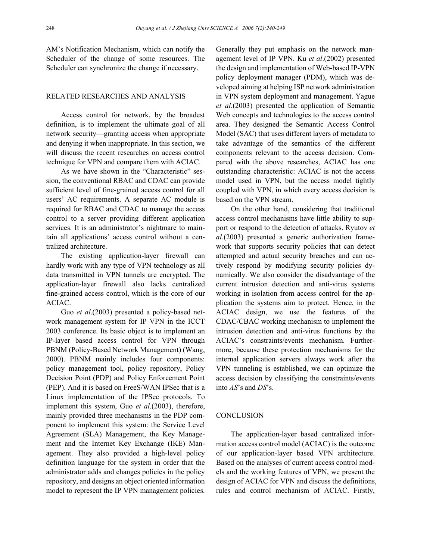AM's Notification Mechanism, which can notify the Scheduler of the change of some resources. The Scheduler can synchronize the change if necessary.

# RELATED RESEARCHES AND ANALYSIS

Access control for network, by the broadest definition, is to implement the ultimate goal of all network security—granting access when appropriate and denying it when inappropriate. In this section, we will discuss the recent researches on access control technique for VPN and compare them with ACIAC.

As we have shown in the "Characteristic" session, the conventional RBAC and CDAC can provide sufficient level of fine-grained access control for all users' AC requirements. A separate AC module is required for RBAC and CDAC to manage the access control to a server providing different application services. It is an administrator's nightmare to maintain all applications' access control without a centralized architecture.

The existing application-layer firewall can hardly work with any type of VPN technology as all data transmitted in VPN tunnels are encrypted. The application-layer firewall also lacks centralized fine-grained access control, which is the core of our ACIAC.

Guo *et al*.(2003) presented a policy-based network management system for IP VPN in the ICCT 2003 conference. Its basic object is to implement an IP-layer based access control for VPN through PBNM (Policy-Based Network Management) (Wang, 2000). PBNM mainly includes four components: policy management tool, policy repository, Policy Decision Point (PDP) and Policy Enforcement Point (PEP). And it is based on FreeS/WAN IPSec that is a Linux implementation of the IPSec protocols. To implement this system, Guo *et al*.(2003), therefore, mainly provided three mechanisms in the PDP component to implement this system: the Service Level Agreement (SLA) Management, the Key Management and the Internet Key Exchange (IKE) Management. They also provided a high-level policy definition language for the system in order that the administrator adds and changes policies in the policy repository, and designs an object oriented information model to represent the IP VPN management policies.

Generally they put emphasis on the network management level of IP VPN. Ku *et al*.(2002) presented the design and implementation of Web-based IP-VPN policy deployment manager (PDM), which was developed aiming at helping ISP network administration in VPN system deployment and management. Yague *et al*.(2003) presented the application of Semantic Web concepts and technologies to the access control area. They designed the Semantic Access Control Model (SAC) that uses different layers of metadata to take advantage of the semantics of the different components relevant to the access decision. Compared with the above researches, ACIAC has one outstanding characteristic: ACIAC is not the access model used in VPN, but the access model tightly coupled with VPN, in which every access decision is based on the VPN stream.

On the other hand, considering that traditional access control mechanisms have little ability to support or respond to the detection of attacks. Ryutov *et al*.(2003) presented a generic authorization framework that supports security policies that can detect attempted and actual security breaches and can actively respond by modifying security policies dynamically. We also consider the disadvantage of the current intrusion detection and anti-virus systems working in isolation from access control for the application the systems aim to protect. Hence, in the ACIAC design, we use the features of the CDAC/CBAC working mechanism to implement the intrusion detection and anti-virus functions by the ACIAC's constraints/events mechanism. Furthermore, because these protection mechanisms for the internal application servers always work after the VPN tunneling is established, we can optimize the access decision by classifying the constraints/events into *AS*'s and *DS*'s.

### **CONCLUSION**

The application-layer based centralized information access control model (ACIAC) is the outcome of our application-layer based VPN architecture. Based on the analyses of current access control models and the working features of VPN, we present the design of ACIAC for VPN and discuss the definitions, rules and control mechanism of ACIAC. Firstly,